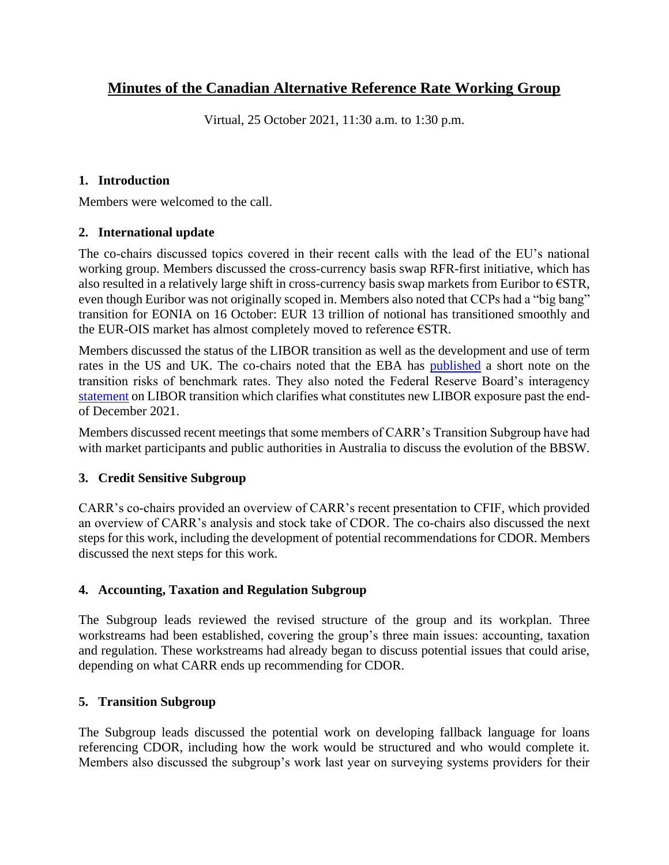# **Minutes of the Canadian Alternative Reference Rate Working Group**

Virtual, 25 October 2021, 11:30 a.m. to 1:30 p.m.

### **1. Introduction**

Members were welcomed to the call.

# **2. International update**

The co-chairs discussed topics covered in their recent calls with the lead of the EU's national working group. Members discussed the cross-currency basis swap RFR-first initiative, which has also resulted in a relatively large shift in cross-currency basis swap markets from Euribor to €STR, even though Euribor was not originally scoped in. Members also noted that CCPs had a "big bang" transition for EONIA on 16 October: EUR 13 trillion of notional has transitioned smoothly and the EUR-OIS market has almost completely moved to reference €STR.

Members discussed the status of the LIBOR transition as well as the development and use of term rates in the US and UK. The co-chairs noted that the EBA has [published](https://www.eba.europa.eu/eba-points-still-elevated-benchmark-rate-transition-risks) a short note on the transition risks of benchmark rates. They also noted the Federal Reserve Board's interagency [statement](https://www.federalreserve.gov/supervisionreg/srletters/sr2117.htm) on LIBOR transition which clarifies what constitutes new LIBOR exposure past the endof December 2021.

Members discussed recent meetings that some members of CARR's Transition Subgroup have had with market participants and public authorities in Australia to discuss the evolution of the BBSW.

# **3. Credit Sensitive Subgroup**

CARR's co-chairs provided an overview of CARR's recent presentation to CFIF, which provided an overview of CARR's analysis and stock take of CDOR. The co-chairs also discussed the next steps for this work, including the development of potential recommendations for CDOR. Members discussed the next steps for this work.

# **4. Accounting, Taxation and Regulation Subgroup**

The Subgroup leads reviewed the revised structure of the group and its workplan. Three workstreams had been established, covering the group's three main issues: accounting, taxation and regulation. These workstreams had already began to discuss potential issues that could arise, depending on what CARR ends up recommending for CDOR.

# **5. Transition Subgroup**

The Subgroup leads discussed the potential work on developing fallback language for loans referencing CDOR, including how the work would be structured and who would complete it. Members also discussed the subgroup's work last year on surveying systems providers for their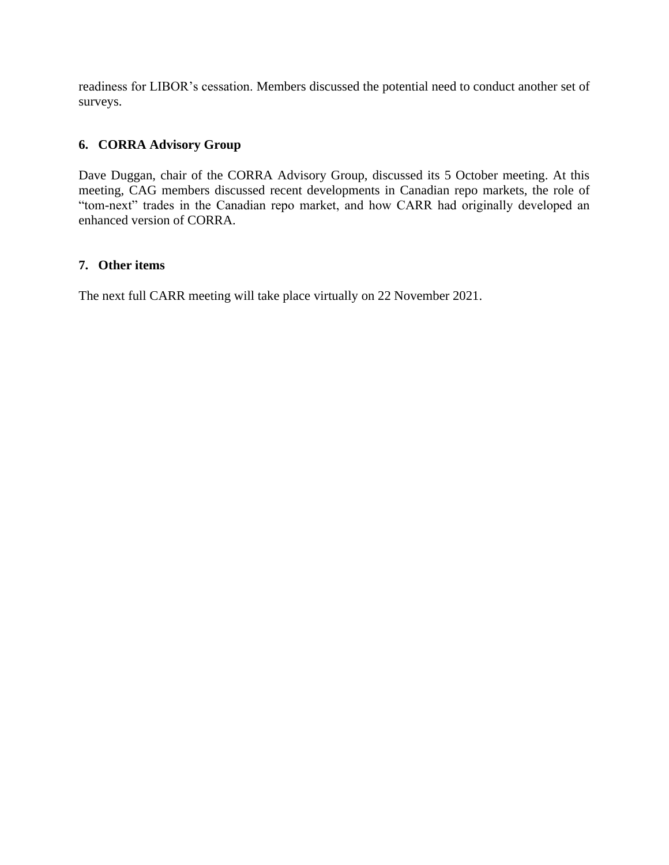readiness for LIBOR's cessation. Members discussed the potential need to conduct another set of surveys.

# **6. CORRA Advisory Group**

Dave Duggan, chair of the CORRA Advisory Group, discussed its 5 October meeting. At this meeting, CAG members discussed recent developments in Canadian repo markets, the role of "tom-next" trades in the Canadian repo market, and how CARR had originally developed an enhanced version of CORRA.

### **7. Other items**

The next full CARR meeting will take place virtually on 22 November 2021.